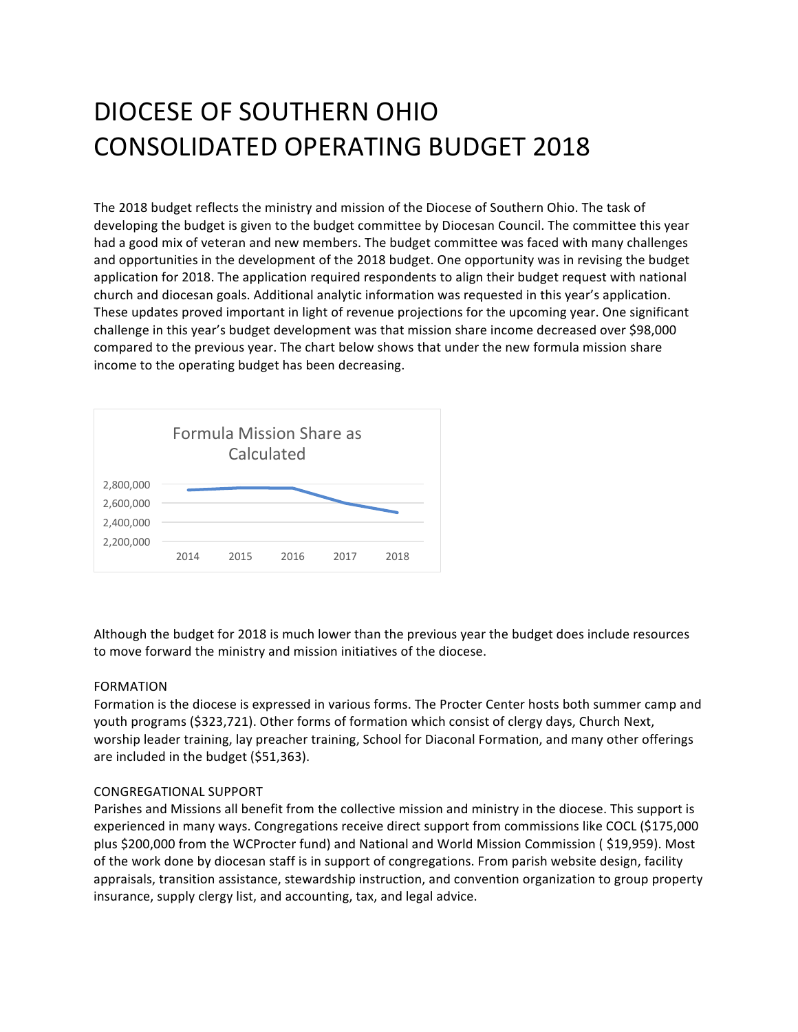# DIOCESE OF SOUTHERN OHIO CONSOLIDATED OPERATING BUDGET 2018

The 2018 budget reflects the ministry and mission of the Diocese of Southern Ohio. The task of developing the budget is given to the budget committee by Diocesan Council. The committee this year had a good mix of veteran and new members. The budget committee was faced with many challenges and opportunities in the development of the 2018 budget. One opportunity was in revising the budget application for 2018. The application required respondents to align their budget request with national church and diocesan goals. Additional analytic information was requested in this year's application. These updates proved important in light of revenue projections for the upcoming year. One significant challenge in this year's budget development was that mission share income decreased over \$98,000 compared to the previous year. The chart below shows that under the new formula mission share income to the operating budget has been decreasing.



Although the budget for 2018 is much lower than the previous year the budget does include resources to move forward the ministry and mission initiatives of the diocese.

## FORMATION

Formation is the diocese is expressed in various forms. The Procter Center hosts both summer camp and youth programs (\$323,721). Other forms of formation which consist of clergy days, Church Next, worship leader training, lay preacher training, School for Diaconal Formation, and many other offerings are included in the budget (\$51,363).

## CONGREGATIONAL SUPPORT

Parishes and Missions all benefit from the collective mission and ministry in the diocese. This support is experienced in many ways. Congregations receive direct support from commissions like COCL (\$175,000 plus \$200,000 from the WCProcter fund) and National and World Mission Commission (\$19,959). Most of the work done by diocesan staff is in support of congregations. From parish website design, facility appraisals, transition assistance, stewardship instruction, and convention organization to group property insurance, supply clergy list, and accounting, tax, and legal advice.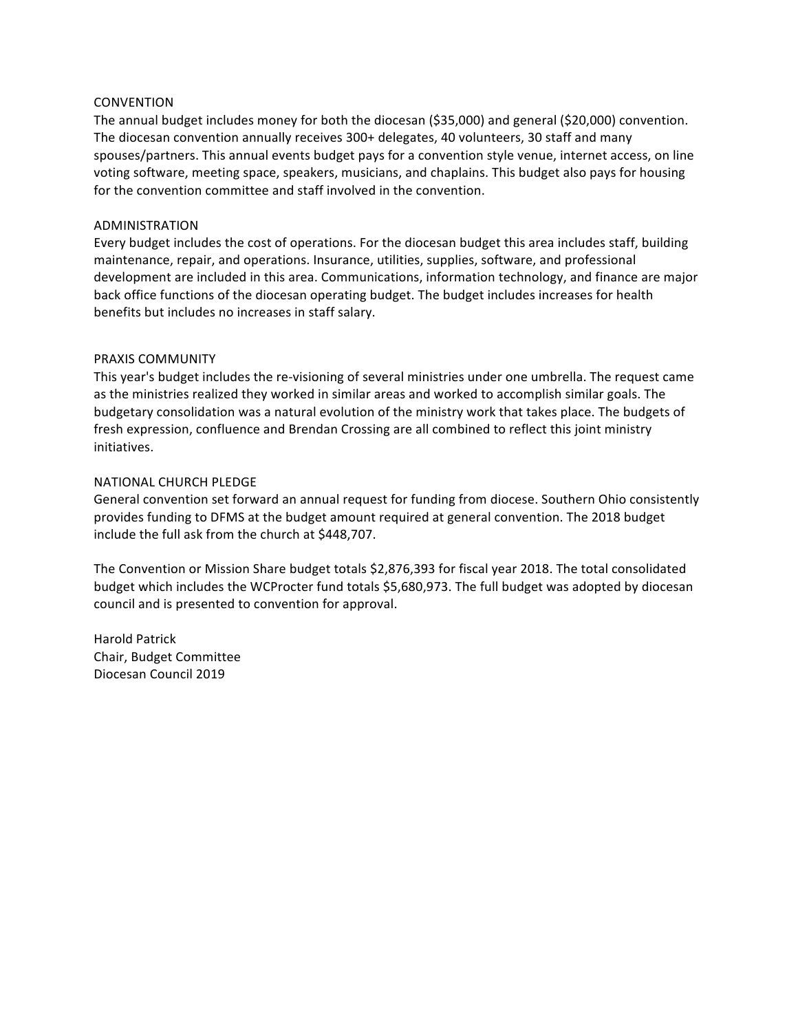#### **CONVENTION**

The annual budget includes money for both the diocesan (\$35,000) and general (\$20,000) convention. The diocesan convention annually receives 300+ delegates, 40 volunteers, 30 staff and many spouses/partners. This annual events budget pays for a convention style venue, internet access, on line voting software, meeting space, speakers, musicians, and chaplains. This budget also pays for housing for the convention committee and staff involved in the convention.

#### ADMINISTRATION

Every budget includes the cost of operations. For the diocesan budget this area includes staff, building maintenance, repair, and operations. Insurance, utilities, supplies, software, and professional development are included in this area. Communications, information technology, and finance are major back office functions of the diocesan operating budget. The budget includes increases for health benefits but includes no increases in staff salary.

### PRAXIS COMMUNITY

This year's budget includes the re-visioning of several ministries under one umbrella. The request came as the ministries realized they worked in similar areas and worked to accomplish similar goals. The budgetary consolidation was a natural evolution of the ministry work that takes place. The budgets of fresh expression, confluence and Brendan Crossing are all combined to reflect this joint ministry initiatives. 

### **NATIONAL CHURCH PLEDGE**

General convention set forward an annual request for funding from diocese. Southern Ohio consistently provides funding to DFMS at the budget amount required at general convention. The 2018 budget include the full ask from the church at \$448,707.

The Convention or Mission Share budget totals \$2,876,393 for fiscal year 2018. The total consolidated budget which includes the WCProcter fund totals \$5,680,973. The full budget was adopted by diocesan council and is presented to convention for approval.

Harold Patrick Chair, Budget Committee Diocesan Council 2019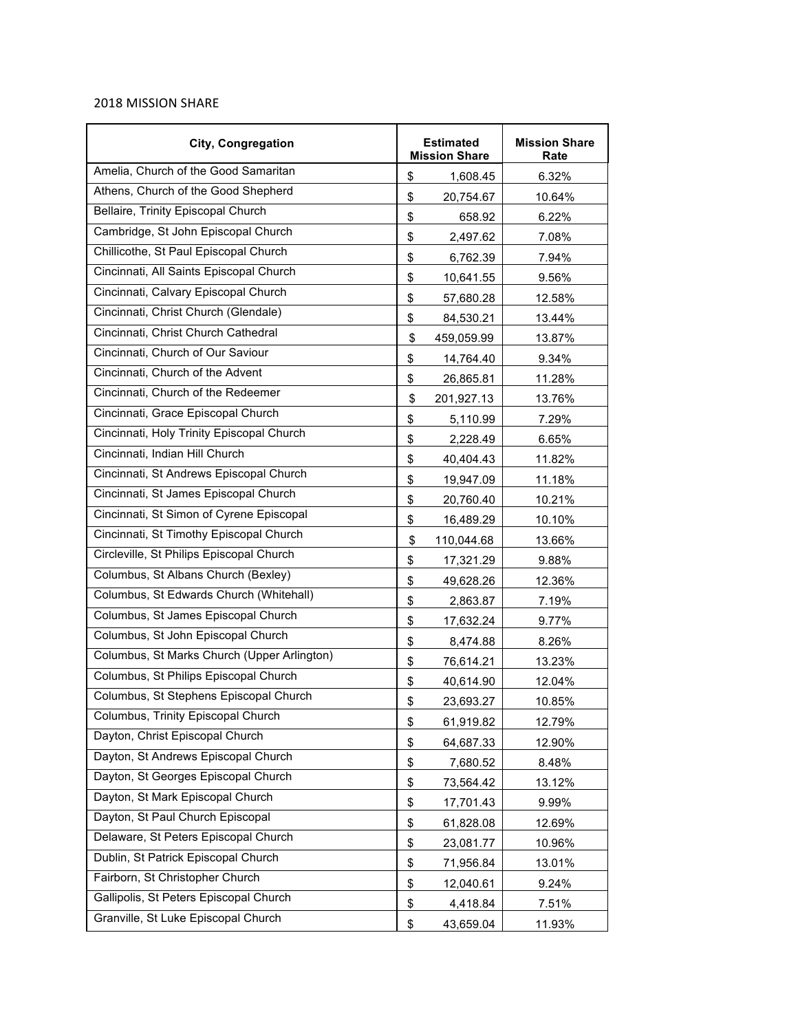## 2018 MISSION SHARE

| <b>City, Congregation</b>                   | <b>Estimated</b><br><b>Mission Share</b> | <b>Mission Share</b><br>Rate |  |
|---------------------------------------------|------------------------------------------|------------------------------|--|
| Amelia, Church of the Good Samaritan        | \$<br>1,608.45                           | 6.32%                        |  |
| Athens, Church of the Good Shepherd         | \$<br>20,754.67                          | 10.64%                       |  |
| Bellaire, Trinity Episcopal Church          | \$<br>658.92                             | 6.22%                        |  |
| Cambridge, St John Episcopal Church         | \$<br>2,497.62                           | 7.08%                        |  |
| Chillicothe, St Paul Episcopal Church       | \$<br>6,762.39                           | 7.94%                        |  |
| Cincinnati, All Saints Episcopal Church     | \$<br>10,641.55                          | 9.56%                        |  |
| Cincinnati, Calvary Episcopal Church        | \$<br>57,680.28                          | 12.58%                       |  |
| Cincinnati, Christ Church (Glendale)        | \$<br>84,530.21                          | 13.44%                       |  |
| Cincinnati, Christ Church Cathedral         | \$<br>459,059.99                         | 13.87%                       |  |
| Cincinnati, Church of Our Saviour           | \$<br>14,764.40                          | 9.34%                        |  |
| Cincinnati, Church of the Advent            | \$<br>26,865.81                          | 11.28%                       |  |
| Cincinnati, Church of the Redeemer          | \$<br>201,927.13                         | 13.76%                       |  |
| Cincinnati, Grace Episcopal Church          | \$<br>5,110.99                           | 7.29%                        |  |
| Cincinnati, Holy Trinity Episcopal Church   | \$<br>2,228.49                           | 6.65%                        |  |
| Cincinnati, Indian Hill Church              | \$<br>40,404.43                          | 11.82%                       |  |
| Cincinnati, St Andrews Episcopal Church     | \$<br>19,947.09                          | 11.18%                       |  |
| Cincinnati, St James Episcopal Church       | \$<br>20,760.40                          | 10.21%                       |  |
| Cincinnati, St Simon of Cyrene Episcopal    | \$<br>16,489.29                          | 10.10%                       |  |
| Cincinnati, St Timothy Episcopal Church     | \$<br>110,044.68                         | 13.66%                       |  |
| Circleville, St Philips Episcopal Church    | \$<br>17,321.29                          | 9.88%                        |  |
| Columbus, St Albans Church (Bexley)         | \$<br>49,628.26                          | 12.36%                       |  |
| Columbus, St Edwards Church (Whitehall)     | \$<br>2,863.87                           | 7.19%                        |  |
| Columbus, St James Episcopal Church         | \$<br>17,632.24                          | 9.77%                        |  |
| Columbus, St John Episcopal Church          | \$<br>8,474.88                           | 8.26%                        |  |
| Columbus, St Marks Church (Upper Arlington) | \$<br>76,614.21                          | 13.23%                       |  |
| Columbus, St Philips Episcopal Church       | \$<br>40,614.90                          | 12.04%                       |  |
| Columbus, St Stephens Episcopal Church      | \$<br>23,693.27                          | 10.85%                       |  |
| Columbus, Trinity Episcopal Church          | \$<br>61,919.82                          | 12.79%                       |  |
| Dayton, Christ Episcopal Church             | \$<br>64,687.33                          | 12.90%                       |  |
| Dayton, St Andrews Episcopal Church         | \$<br>7,680.52                           | 8.48%                        |  |
| Dayton, St Georges Episcopal Church         | \$<br>73,564.42                          | 13.12%                       |  |
| Dayton, St Mark Episcopal Church            | \$<br>17,701.43                          | 9.99%                        |  |
| Dayton, St Paul Church Episcopal            | \$<br>61,828.08                          | 12.69%                       |  |
| Delaware, St Peters Episcopal Church        | \$<br>23,081.77                          | 10.96%                       |  |
| Dublin, St Patrick Episcopal Church         | \$<br>71,956.84                          | 13.01%                       |  |
| Fairborn, St Christopher Church             | \$<br>12,040.61                          | 9.24%                        |  |
| Gallipolis, St Peters Episcopal Church      | \$<br>4,418.84                           | 7.51%                        |  |
| Granville, St Luke Episcopal Church         | \$<br>43,659.04                          | 11.93%                       |  |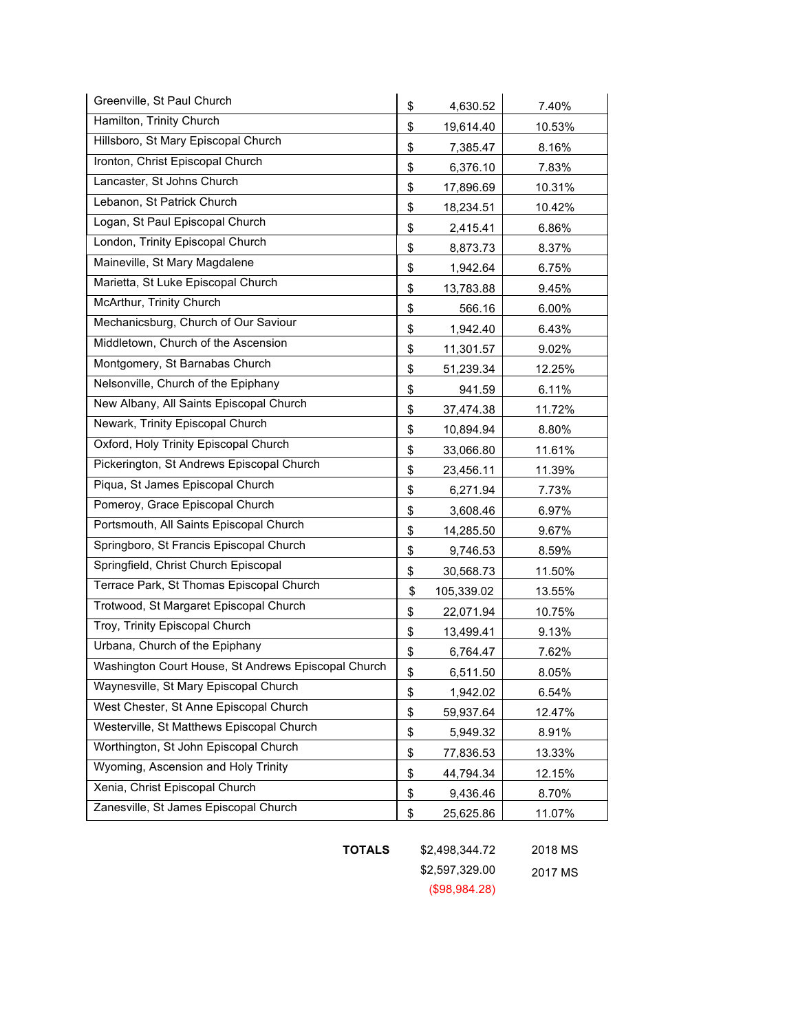| Greenville, St Paul Church                          | \$<br>4,630.52   | 7.40%  |
|-----------------------------------------------------|------------------|--------|
| Hamilton, Trinity Church                            | \$<br>19,614.40  | 10.53% |
| Hillsboro, St Mary Episcopal Church                 | \$<br>7,385.47   | 8.16%  |
| Ironton, Christ Episcopal Church                    | \$<br>6,376.10   | 7.83%  |
| Lancaster, St Johns Church                          | \$<br>17,896.69  | 10.31% |
| Lebanon, St Patrick Church                          | \$<br>18,234.51  | 10.42% |
| Logan, St Paul Episcopal Church                     | \$<br>2,415.41   | 6.86%  |
| London, Trinity Episcopal Church                    | \$<br>8,873.73   | 8.37%  |
| Maineville, St Mary Magdalene                       | \$<br>1,942.64   | 6.75%  |
| Marietta, St Luke Episcopal Church                  | \$<br>13,783.88  | 9.45%  |
| McArthur, Trinity Church                            | \$<br>566.16     | 6.00%  |
| Mechanicsburg, Church of Our Saviour                | \$<br>1,942.40   | 6.43%  |
| Middletown, Church of the Ascension                 | \$<br>11,301.57  | 9.02%  |
| Montgomery, St Barnabas Church                      | \$<br>51,239.34  | 12.25% |
| Nelsonville, Church of the Epiphany                 | \$<br>941.59     | 6.11%  |
| New Albany, All Saints Episcopal Church             | \$<br>37,474.38  | 11.72% |
| Newark, Trinity Episcopal Church                    | \$<br>10,894.94  | 8.80%  |
| Oxford, Holy Trinity Episcopal Church               | \$<br>33,066.80  | 11.61% |
| Pickerington, St Andrews Episcopal Church           | \$<br>23,456.11  | 11.39% |
| Piqua, St James Episcopal Church                    | \$<br>6,271.94   | 7.73%  |
| Pomeroy, Grace Episcopal Church                     | \$<br>3,608.46   | 6.97%  |
| Portsmouth, All Saints Episcopal Church             | \$<br>14,285.50  | 9.67%  |
| Springboro, St Francis Episcopal Church             | \$<br>9,746.53   | 8.59%  |
| Springfield, Christ Church Episcopal                | \$<br>30,568.73  | 11.50% |
| Terrace Park, St Thomas Episcopal Church            | \$<br>105,339.02 | 13.55% |
| Trotwood, St Margaret Episcopal Church              | \$<br>22,071.94  | 10.75% |
| Troy, Trinity Episcopal Church                      | \$<br>13,499.41  | 9.13%  |
| Urbana, Church of the Epiphany                      | \$<br>6,764.47   | 7.62%  |
| Washington Court House, St Andrews Episcopal Church | \$<br>6,511.50   | 8.05%  |
| Waynesville, St Mary Episcopal Church               | \$<br>1,942.02   | 6.54%  |
| West Chester, St Anne Episcopal Church              | \$<br>59,937.64  | 12.47% |
| Westerville, St Matthews Episcopal Church           | \$<br>5,949.32   | 8.91%  |
| Worthington, St John Episcopal Church               | \$<br>77,836.53  | 13.33% |
| Wyoming, Ascension and Holy Trinity                 | \$<br>44,794.34  | 12.15% |
| Xenia, Christ Episcopal Church                      | \$<br>9,436.46   | 8.70%  |
| Zanesville, St James Episcopal Church               | \$<br>25,625.86  | 11.07% |

**TOTALS** \$2,498,344.72 2018 MS

\$2,597,329.00 2017 MS (\$98,984.28)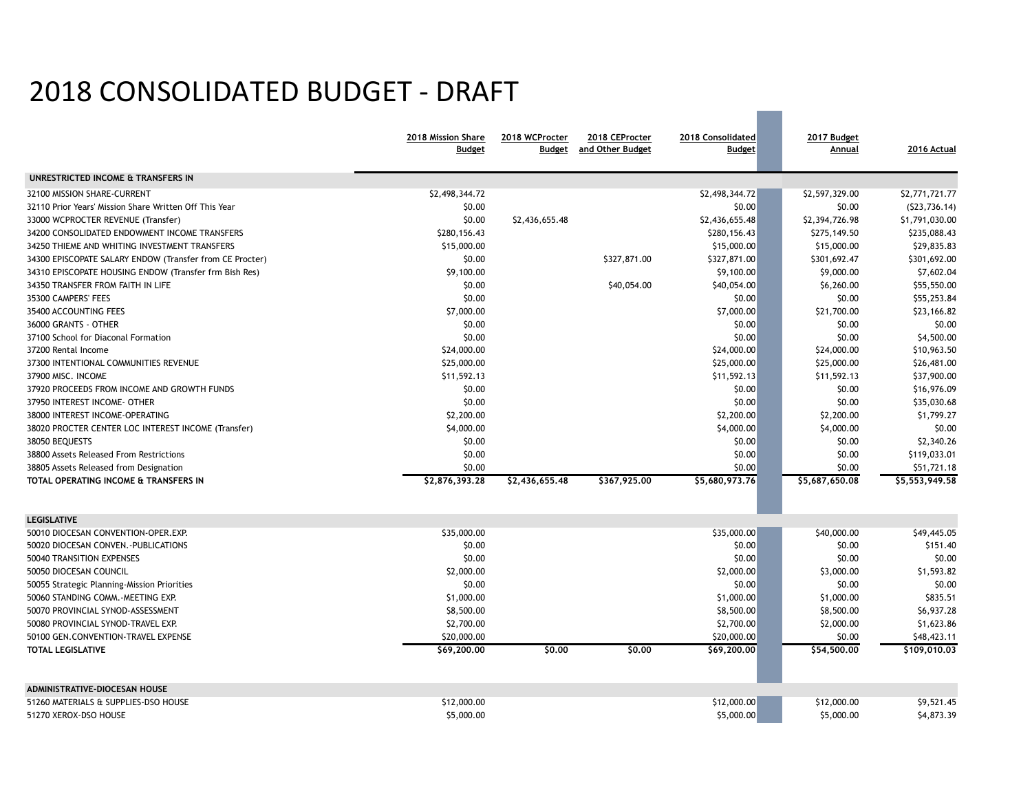# 2018 CONSOLIDATED BUDGET - DRAFT

|                                                          | 2018 Mission Share<br><b>Budget</b> | 2018 WCProcter<br><b>Budget</b> | 2018 CEProcter<br>and Other Budget | 2018 Consolidated<br><b>Budget</b> | 2017 Budget<br>Annual | 2016 Actual    |
|----------------------------------------------------------|-------------------------------------|---------------------------------|------------------------------------|------------------------------------|-----------------------|----------------|
| UNRESTRICTED INCOME & TRANSFERS IN                       |                                     |                                 |                                    |                                    |                       |                |
| 32100 MISSION SHARE-CURRENT                              | \$2,498,344.72                      |                                 |                                    | \$2,498,344.72                     | \$2,597,329.00        | \$2,771,721.77 |
| 32110 Prior Years' Mission Share Written Off This Year   | \$0.00                              |                                 |                                    | \$0.00                             | \$0.00                | (523, 736.14)  |
| 33000 WCPROCTER REVENUE (Transfer)                       | \$0.00                              | \$2,436,655.48                  |                                    | \$2,436,655.48                     | \$2,394,726.98        | \$1,791,030.00 |
| 34200 CONSOLIDATED ENDOWMENT INCOME TRANSFERS            | \$280,156.43                        |                                 |                                    | \$280,156.43                       | \$275,149.50          | \$235,088.43   |
| 34250 THIEME AND WHITING INVESTMENT TRANSFERS            | \$15,000.00                         |                                 |                                    | \$15,000.00                        | \$15,000.00           | \$29,835.83    |
| 34300 EPISCOPATE SALARY ENDOW (Transfer from CE Procter) | \$0.00                              |                                 | \$327,871.00                       | \$327,871.00                       | \$301,692.47          | \$301,692.00   |
| 34310 EPISCOPATE HOUSING ENDOW (Transfer frm Bish Res)   | \$9,100.00                          |                                 |                                    | \$9,100.00                         | \$9,000.00            | \$7,602.04     |
| 34350 TRANSFER FROM FAITH IN LIFE                        | \$0.00                              |                                 | \$40,054.00                        | \$40,054.00                        | \$6,260.00            | \$55,550.00    |
| 35300 CAMPERS' FEES                                      | \$0.00                              |                                 |                                    | \$0.00                             | \$0.00                | \$55,253.84    |
| 35400 ACCOUNTING FEES                                    | \$7,000.00                          |                                 |                                    | \$7,000.00                         | \$21,700.00           | \$23,166.82    |
| 36000 GRANTS - OTHER                                     | \$0.00                              |                                 |                                    | \$0.00                             | \$0.00                | \$0.00         |
| 37100 School for Diaconal Formation                      | \$0.00                              |                                 |                                    | \$0.00                             | \$0.00                | \$4,500.00     |
| 37200 Rental Income                                      | \$24,000.00                         |                                 |                                    | \$24,000.00                        | \$24,000.00           | \$10,963.50    |
| 37300 INTENTIONAL COMMUNITIES REVENUE                    | \$25,000.00                         |                                 |                                    | \$25,000.00                        | \$25,000.00           | \$26,481.00    |
| 37900 MISC. INCOME                                       | \$11,592.13                         |                                 |                                    | \$11,592.13                        | \$11,592.13           | \$37,900.00    |
| 37920 PROCEEDS FROM INCOME AND GROWTH FUNDS              | \$0.00                              |                                 |                                    | \$0.00                             | \$0.00                | \$16,976.09    |
| 37950 INTEREST INCOME- OTHER                             | \$0.00                              |                                 |                                    | \$0.00                             | \$0.00                | \$35,030.68    |
| 38000 INTEREST INCOME-OPERATING                          | \$2,200.00                          |                                 |                                    | \$2,200.00                         | \$2,200.00            | \$1,799.27     |
| 38020 PROCTER CENTER LOC INTEREST INCOME (Transfer)      | \$4,000.00                          |                                 |                                    | \$4,000.00                         | \$4,000.00            | \$0.00         |
| 38050 BEQUESTS                                           | \$0.00                              |                                 |                                    | \$0.00                             | \$0.00                | \$2,340.26     |
| 38800 Assets Released From Restrictions                  | \$0.00                              |                                 |                                    | \$0.00                             | \$0.00                | \$119,033.01   |
| 38805 Assets Released from Designation                   | \$0.00                              |                                 |                                    | \$0.00                             | \$0.00                | \$51,721.18    |
| TOTAL OPERATING INCOME & TRANSFERS IN                    | \$2,876,393.28                      | \$2,436,655.48                  | \$367,925.00                       | \$5,680,973.76                     | \$5,687,650.08        | \$5,553,949.58 |
| <b>LEGISLATIVE</b>                                       |                                     |                                 |                                    |                                    |                       |                |
| 50010 DIOCESAN CONVENTION-OPER.EXP.                      | \$35,000.00                         |                                 |                                    | \$35,000.00                        | \$40,000.00           | \$49,445.05    |
| 50020 DIOCESAN CONVEN. - PUBLICATIONS                    | \$0.00                              |                                 |                                    | \$0.00                             | \$0.00                | \$151.40       |
| 50040 TRANSITION EXPENSES                                | \$0.00                              |                                 |                                    | \$0.00                             | \$0.00                | \$0.00         |
| 50050 DIOCESAN COUNCIL                                   | \$2,000.00                          |                                 |                                    | \$2,000.00                         | \$3,000.00            | \$1,593.82     |
| 50055 Strategic Planning-Mission Priorities              | \$0.00                              |                                 |                                    | \$0.00                             | \$0.00                | \$0.00         |
| 50060 STANDING COMM. - MEETING EXP.                      | \$1,000.00                          |                                 |                                    | \$1,000.00                         | \$1,000.00            | \$835.51       |
| 50070 PROVINCIAL SYNOD-ASSESSMENT                        | \$8,500.00                          |                                 |                                    | \$8,500.00                         | \$8,500.00            | \$6,937.28     |
| 50080 PROVINCIAL SYNOD-TRAVEL EXP.                       | \$2,700.00                          |                                 |                                    | \$2,700.00                         | \$2,000.00            | \$1,623.86     |
| 50100 GEN.CONVENTION-TRAVEL EXPENSE                      | \$20,000.00                         |                                 |                                    | \$20,000.00                        | \$0.00                | \$48,423.11    |
| <b>TOTAL LEGISLATIVE</b>                                 | \$69,200.00                         | \$0,00                          | \$0,00                             | \$69,200.00                        | \$54,500.00           | \$109,010.03   |
| ADMINISTRATIVE-DIOCESAN HOUSE                            |                                     |                                 |                                    |                                    |                       |                |
| 51260 MATERIALS & SUPPLIES-DSO HOUSE                     | \$12,000.00                         |                                 |                                    | \$12,000.00                        | \$12,000.00           | \$9,521.45     |
| 51270 XEROX-DSO HOUSE                                    | \$5,000.00                          |                                 |                                    | \$5,000.00                         | \$5,000.00            | \$4,873.39     |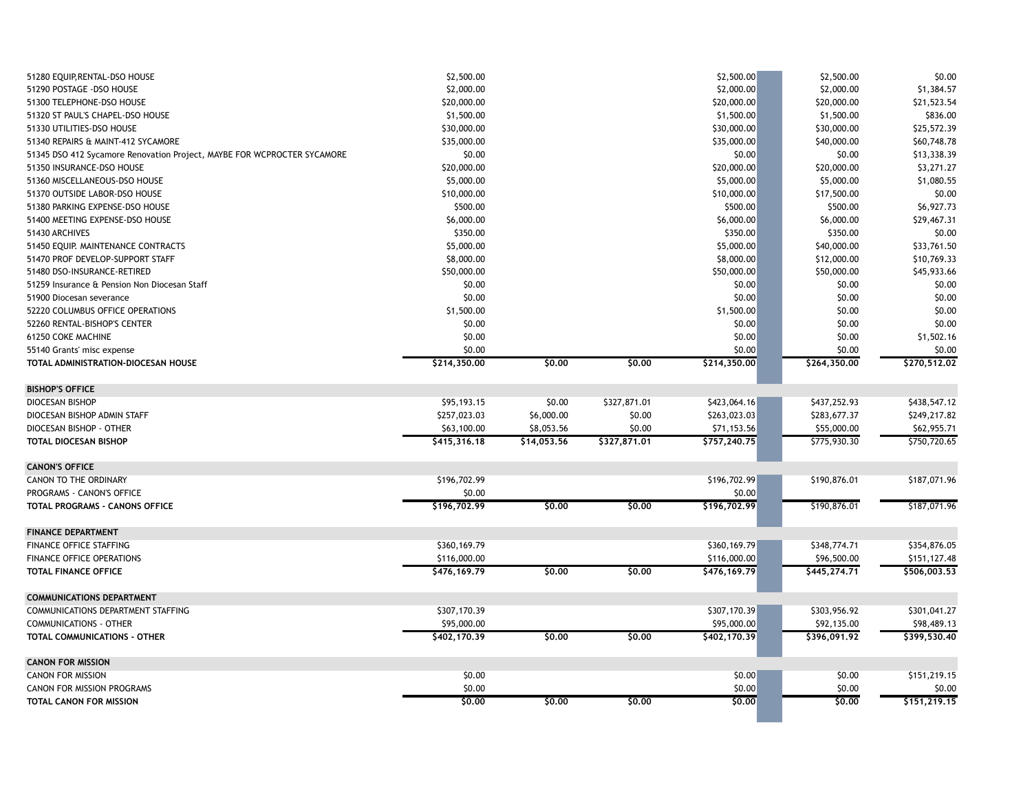| 51280 EQUIP, RENTAL-DSO HOUSE                                           | \$2,500.00   |             |              | \$2,500.00    | \$2,500.00   | \$0.00       |
|-------------------------------------------------------------------------|--------------|-------------|--------------|---------------|--------------|--------------|
| 51290 POSTAGE - DSO HOUSE                                               | \$2,000.00   |             |              | \$2,000.00    | \$2,000.00   | \$1,384.57   |
| 51300 TELEPHONE-DSO HOUSE                                               | \$20,000.00  |             |              | \$20,000.00   | \$20,000.00  | \$21,523.54  |
| 51320 ST PAUL'S CHAPEL-DSO HOUSE                                        | \$1,500.00   |             |              | \$1,500.00    | \$1,500.00   | \$836.00     |
| 51330 UTILITIES-DSO HOUSE                                               | \$30,000.00  |             |              | \$30,000.00   | \$30,000.00  | \$25,572.39  |
| 51340 REPAIRS & MAINT-412 SYCAMORE                                      | \$35,000.00  |             |              | \$35,000.00   | \$40,000.00  | \$60,748.78  |
| 51345 DSO 412 Sycamore Renovation Project, MAYBE FOR WCPROCTER SYCAMORE | \$0.00       |             |              | \$0.00        | \$0.00       | \$13,338.39  |
| 51350 INSURANCE-DSO HOUSE                                               | \$20,000.00  |             |              | \$20,000.00   | \$20,000.00  | \$3,271.27   |
| 51360 MISCELLANEOUS-DSO HOUSE                                           | \$5,000.00   |             |              | \$5,000.00    | \$5,000.00   | \$1,080.55   |
| 51370 OUTSIDE LABOR-DSO HOUSE                                           | \$10,000.00  |             |              | \$10,000.00   | \$17,500.00  | \$0.00       |
| 51380 PARKING EXPENSE-DSO HOUSE                                         | \$500.00     |             |              | \$500.00      | \$500.00     | \$6,927.73   |
| 51400 MEETING EXPENSE-DSO HOUSE                                         | \$6,000.00   |             |              | \$6,000.00    | \$6,000.00   | \$29,467.31  |
| 51430 ARCHIVES                                                          | \$350.00     |             |              | \$350.00      | \$350.00     | \$0.00       |
| 51450 EQUIP. MAINTENANCE CONTRACTS                                      | \$5,000.00   |             |              | \$5,000.00    | \$40,000.00  | \$33,761.50  |
| 51470 PROF DEVELOP-SUPPORT STAFF                                        | \$8,000.00   |             |              | \$8,000.00    | \$12,000.00  | \$10,769.33  |
| 51480 DSO-INSURANCE-RETIRED                                             | \$50,000.00  |             |              | \$50,000.00   | \$50,000.00  | \$45,933.66  |
| 51259 Insurance & Pension Non Diocesan Staff                            | \$0.00       |             |              | \$0.00        | \$0.00       | \$0.00       |
| 51900 Diocesan severance                                                | \$0.00       |             |              | \$0.00        | \$0.00       | \$0.00       |
| 52220 COLUMBUS OFFICE OPERATIONS                                        | \$1,500.00   |             |              | \$1,500.00    | \$0.00       | \$0.00       |
| 52260 RENTAL-BISHOP'S CENTER                                            | \$0.00       |             |              | \$0.00        | \$0.00       | \$0.00       |
| 61250 COKE MACHINE                                                      | \$0.00       |             |              | \$0.00        | \$0.00       | \$1,502.16   |
| 55140 Grants' misc expense                                              | \$0.00       |             |              | \$0.00        | \$0.00       | \$0.00       |
| TOTAL ADMINISTRATION-DIOCESAN HOUSE                                     | \$214,350.00 | \$0.00      | \$0,00       | \$214,350.00  | \$264,350.00 | \$270,512.02 |
| <b>BISHOP'S OFFICE</b>                                                  |              |             |              |               |              |              |
| DIOCESAN BISHOP                                                         | \$95,193.15  | \$0.00      | \$327,871.01 | \$423,064.16  | \$437,252.93 | \$438,547.12 |
| DIOCESAN BISHOP ADMIN STAFF                                             | \$257,023.03 | \$6,000.00  | \$0.00       | \$263,023.03  | \$283,677.37 | \$249,217.82 |
| DIOCESAN BISHOP - OTHER                                                 | \$63,100.00  | \$8,053.56  | \$0.00       | \$71,153.56   | \$55,000.00  | \$62,955.71  |
| TOTAL DIOCESAN BISHOP                                                   | \$415,316.18 | \$14,053.56 | \$327,871.01 | \$757,240.75  | \$775,930.30 | \$750,720.65 |
| <b>CANON'S OFFICE</b>                                                   |              |             |              |               |              |              |
| CANON TO THE ORDINARY                                                   | \$196,702.99 |             |              | \$196,702.99  | \$190,876.01 | \$187,071.96 |
| PROGRAMS - CANON'S OFFICE                                               | \$0.00       |             |              | \$0.00        |              |              |
| TOTAL PROGRAMS - CANONS OFFICE                                          | \$196,702.99 | \$0.00      | \$0.00       | \$196,702.99  | \$190,876.01 | \$187,071.96 |
| <b>FINANCE DEPARTMENT</b>                                               |              |             |              |               |              |              |
| FINANCE OFFICE STAFFING                                                 | \$360,169.79 |             |              | \$360,169.79  | \$348,774.71 | \$354,876.05 |
| FINANCE OFFICE OPERATIONS                                               | \$116,000.00 |             |              | \$116,000.00  | \$96,500.00  | \$151,127.48 |
| <b>TOTAL FINANCE OFFICE</b>                                             | \$476,169.79 | \$0.00      | \$0.00       | \$476, 169.79 | \$445,274.71 | \$506,003.53 |
| <b>COMMUNICATIONS DEPARTMENT</b>                                        |              |             |              |               |              |              |
| COMMUNICATIONS DEPARTMENT STAFFING                                      | \$307,170.39 |             |              | \$307,170.39  | \$303,956.92 | \$301,041.27 |
| <b>COMMUNICATIONS - OTHER</b>                                           | \$95,000.00  |             |              | \$95,000.00   | \$92,135.00  | \$98,489.13  |
| TOTAL COMMUNICATIONS - OTHER                                            | \$402,170.39 | \$0,00      | \$0,00       | \$402,170.39  | \$396,091.92 | \$399,530.40 |
| <b>CANON FOR MISSION</b>                                                |              |             |              |               |              |              |
| <b>CANON FOR MISSION</b>                                                | \$0.00       |             |              | \$0.00        | \$0.00       | \$151,219.15 |
| <b>CANON FOR MISSION PROGRAMS</b>                                       | \$0.00       |             |              | \$0.00        | \$0.00       | \$0.00       |
| TOTAL CANON FOR MISSION                                                 | \$0.00       | \$0.00      | \$0,00       | \$0.00        | 50.00        | \$151,219.15 |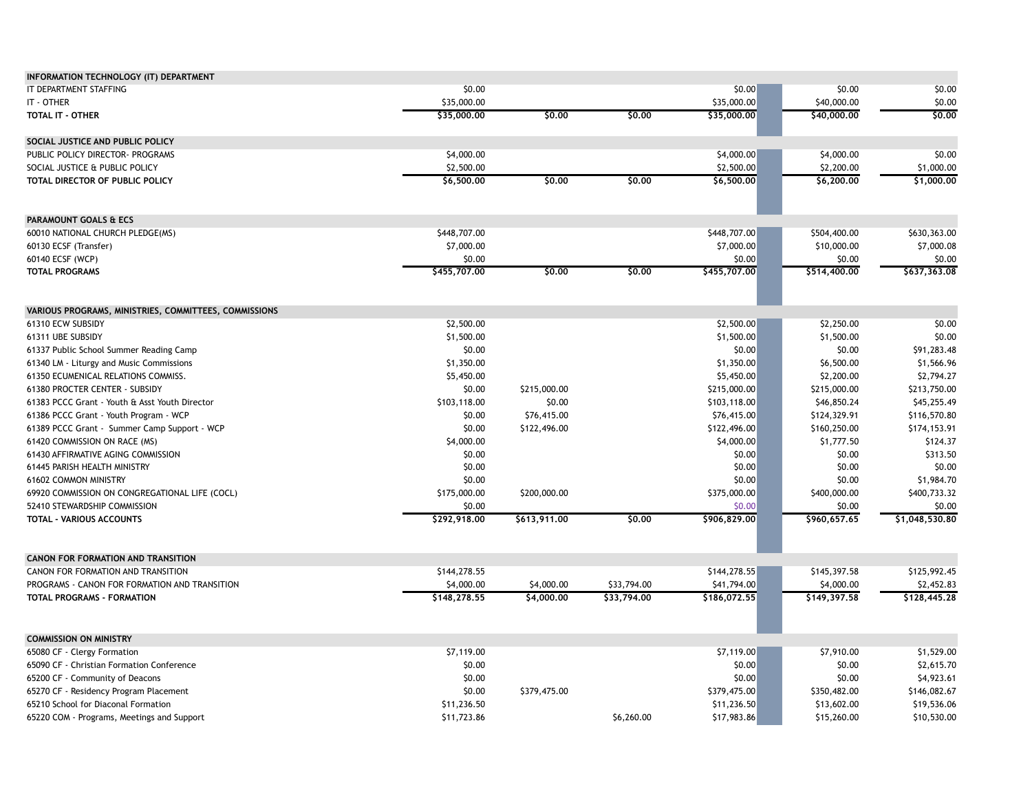| IT DEPARTMENT STAFFING<br>\$0.00<br>\$0.00<br>\$0.00<br>\$0.00<br>IT - OTHER<br>\$35,000.00<br>\$35,000.00<br>\$40,000.00<br>\$0.00<br>\$0.00<br>\$0.00<br>\$35,000.00<br>\$0.00<br>TOTAL IT - OTHER<br>\$35,000.00<br>\$40,000.00<br>SOCIAL JUSTICE AND PUBLIC POLICY<br>\$4,000.00<br>\$4,000.00<br>\$4,000.00<br>\$0.00<br>PUBLIC POLICY DIRECTOR- PROGRAMS<br>\$2,500.00<br>\$2,500.00<br>\$2,200.00<br>SOCIAL JUSTICE & PUBLIC POLICY<br>\$1,000.00<br>\$6,500.00<br>\$0,00<br>\$0,00<br>\$6,500.00<br>\$6,200,00<br>\$1,000.00<br>TOTAL DIRECTOR OF PUBLIC POLICY<br>PARAMOUNT GOALS & ECS<br>\$448,707.00<br>\$448,707.00<br>\$504,400.00<br>\$630,363.00<br>60010 NATIONAL CHURCH PLEDGE(MS)<br>\$7,000.00<br>60130 ECSF (Transfer)<br>\$7,000.00<br>\$10,000.00<br>\$7,000.08<br>\$0.00<br>60140 ECSF (WCP)<br>\$0.00<br>\$0.00<br>\$0.00<br>\$0,00<br>\$0,00<br>\$455,707.00<br>\$514,400.00<br>\$637,363.08<br><b>TOTAL PROGRAMS</b><br>\$455,707.00<br>VARIOUS PROGRAMS, MINISTRIES, COMMITTEES, COMMISSIONS<br>61310 ECW SUBSIDY<br>\$2,500.00<br>\$2,500.00<br>\$2,250.00<br>\$0.00<br>\$1,500.00<br>\$1,500.00<br>\$1,500.00<br>\$0.00<br>61311 UBE SUBSIDY<br>\$0.00<br>\$0.00<br>\$0.00<br>\$91,283.48<br>61337 Public School Summer Reading Camp<br>\$1,350.00<br>\$1,350.00<br>\$6,500.00<br>\$1,566.96<br>61340 LM - Liturgy and Music Commissions<br>\$5,450.00<br>\$2,200.00<br>61350 ECUMENICAL RELATIONS COMMISS.<br>\$5,450.00<br>\$2,794.27<br>\$215,000.00<br>61380 PROCTER CENTER - SUBSIDY<br>\$0.00<br>\$215,000.00<br>\$215,000.00<br>\$213,750.00<br>61383 PCCC Grant - Youth & Asst Youth Director<br>\$103,118.00<br>\$0.00<br>\$103,118.00<br>\$46,850.24<br>\$45,255.49<br>\$76,415.00<br>\$76,415.00<br>\$124,329.91<br>\$116,570.80<br>61386 PCCC Grant - Youth Program - WCP<br>\$0.00<br>\$0.00<br>\$122,496.00<br>\$122,496.00<br>\$160,250.00<br>\$174,153.91<br>61389 PCCC Grant - Summer Camp Support - WCP<br>\$4,000.00<br>\$4,000.00<br>\$1,777.50<br>\$124.37<br>61420 COMMISSION ON RACE (MS)<br>\$0.00<br>\$0.00<br>\$313.50<br>61430 AFFIRMATIVE AGING COMMISSION<br>\$0.00<br>\$0.00<br>61445 PARISH HEALTH MINISTRY<br>\$0.00<br>\$0.00<br>\$0.00<br>\$0.00<br>61602 COMMON MINISTRY<br>\$0.00<br>\$0.00<br>\$1,984.70<br>\$175,000.00<br>\$375,000.00<br>\$400,000.00<br>\$400,733.32<br>69920 COMMISSION ON CONGREGATIONAL LIFE (COCL)<br>\$200,000.00<br>\$0.00<br>\$0.00<br>\$0.00<br>\$0.00<br>52410 STEWARDSHIP COMMISSION<br>\$292,918.00<br>\$0,00<br>\$906,829.00<br>\$960,657.65<br>\$1,048,530.80<br>\$613,911.00<br><b>TOTAL - VARIOUS ACCOUNTS</b><br><b>CANON FOR FORMATION AND TRANSITION</b><br>\$144,278.55<br>\$144,278.55<br>\$145,397.58<br>\$125,992.45<br>CANON FOR FORMATION AND TRANSITION<br>\$33,794.00<br>PROGRAMS - CANON FOR FORMATION AND TRANSITION<br>\$4,000.00<br>\$4,000.00<br>\$41,794.00<br>\$4,000.00<br>\$2,452.83<br><b>TOTAL PROGRAMS - FORMATION</b><br>\$148,278.55<br>\$4,000.00<br>\$33,794.00<br>\$186,072.55<br>\$149,397.58<br>\$128,445.28<br><b>COMMISSION ON MINISTRY</b><br>\$7,119.00<br>\$7,119.00<br>\$7,910.00<br>\$1,529.00<br>65080 CF - Clergy Formation<br>\$0.00<br>\$0.00<br>\$0.00<br>\$2,615.70<br>65090 CF - Christian Formation Conference<br>\$0.00<br>\$0.00<br>\$0.00<br>65200 CF - Community of Deacons<br>\$4,923.61<br>\$0.00<br>\$379,475.00<br>65270 CF - Residency Program Placement<br>\$379,475.00<br>\$350,482.00<br>\$146,082.67<br>\$11,236.50<br>\$11,236.50<br>65210 School for Diaconal Formation<br>\$13,602.00<br>\$19,536.06<br>\$11,723.86<br>\$6,260.00<br>\$17,983.86<br>\$15,260.00<br>\$10,530.00<br>65220 COM - Programs, Meetings and Support | INFORMATION TECHNOLOGY (IT) DEPARTMENT |  |  |  |
|-------------------------------------------------------------------------------------------------------------------------------------------------------------------------------------------------------------------------------------------------------------------------------------------------------------------------------------------------------------------------------------------------------------------------------------------------------------------------------------------------------------------------------------------------------------------------------------------------------------------------------------------------------------------------------------------------------------------------------------------------------------------------------------------------------------------------------------------------------------------------------------------------------------------------------------------------------------------------------------------------------------------------------------------------------------------------------------------------------------------------------------------------------------------------------------------------------------------------------------------------------------------------------------------------------------------------------------------------------------------------------------------------------------------------------------------------------------------------------------------------------------------------------------------------------------------------------------------------------------------------------------------------------------------------------------------------------------------------------------------------------------------------------------------------------------------------------------------------------------------------------------------------------------------------------------------------------------------------------------------------------------------------------------------------------------------------------------------------------------------------------------------------------------------------------------------------------------------------------------------------------------------------------------------------------------------------------------------------------------------------------------------------------------------------------------------------------------------------------------------------------------------------------------------------------------------------------------------------------------------------------------------------------------------------------------------------------------------------------------------------------------------------------------------------------------------------------------------------------------------------------------------------------------------------------------------------------------------------------------------------------------------------------------------------------------------------------------------------------------------------------------------------------------------------------------------------------------------------------------------------------------------------------------------------------------------------------------------------------------------------------------------------------------------------------------------------------------------------------------------------------------------------------------------------------------------------------------------------------------------------------------------------------------------------------------------------|----------------------------------------|--|--|--|
|                                                                                                                                                                                                                                                                                                                                                                                                                                                                                                                                                                                                                                                                                                                                                                                                                                                                                                                                                                                                                                                                                                                                                                                                                                                                                                                                                                                                                                                                                                                                                                                                                                                                                                                                                                                                                                                                                                                                                                                                                                                                                                                                                                                                                                                                                                                                                                                                                                                                                                                                                                                                                                                                                                                                                                                                                                                                                                                                                                                                                                                                                                                                                                                                                                                                                                                                                                                                                                                                                                                                                                                                                                                                                                 |                                        |  |  |  |
|                                                                                                                                                                                                                                                                                                                                                                                                                                                                                                                                                                                                                                                                                                                                                                                                                                                                                                                                                                                                                                                                                                                                                                                                                                                                                                                                                                                                                                                                                                                                                                                                                                                                                                                                                                                                                                                                                                                                                                                                                                                                                                                                                                                                                                                                                                                                                                                                                                                                                                                                                                                                                                                                                                                                                                                                                                                                                                                                                                                                                                                                                                                                                                                                                                                                                                                                                                                                                                                                                                                                                                                                                                                                                                 |                                        |  |  |  |
|                                                                                                                                                                                                                                                                                                                                                                                                                                                                                                                                                                                                                                                                                                                                                                                                                                                                                                                                                                                                                                                                                                                                                                                                                                                                                                                                                                                                                                                                                                                                                                                                                                                                                                                                                                                                                                                                                                                                                                                                                                                                                                                                                                                                                                                                                                                                                                                                                                                                                                                                                                                                                                                                                                                                                                                                                                                                                                                                                                                                                                                                                                                                                                                                                                                                                                                                                                                                                                                                                                                                                                                                                                                                                                 |                                        |  |  |  |
|                                                                                                                                                                                                                                                                                                                                                                                                                                                                                                                                                                                                                                                                                                                                                                                                                                                                                                                                                                                                                                                                                                                                                                                                                                                                                                                                                                                                                                                                                                                                                                                                                                                                                                                                                                                                                                                                                                                                                                                                                                                                                                                                                                                                                                                                                                                                                                                                                                                                                                                                                                                                                                                                                                                                                                                                                                                                                                                                                                                                                                                                                                                                                                                                                                                                                                                                                                                                                                                                                                                                                                                                                                                                                                 |                                        |  |  |  |
|                                                                                                                                                                                                                                                                                                                                                                                                                                                                                                                                                                                                                                                                                                                                                                                                                                                                                                                                                                                                                                                                                                                                                                                                                                                                                                                                                                                                                                                                                                                                                                                                                                                                                                                                                                                                                                                                                                                                                                                                                                                                                                                                                                                                                                                                                                                                                                                                                                                                                                                                                                                                                                                                                                                                                                                                                                                                                                                                                                                                                                                                                                                                                                                                                                                                                                                                                                                                                                                                                                                                                                                                                                                                                                 |                                        |  |  |  |
|                                                                                                                                                                                                                                                                                                                                                                                                                                                                                                                                                                                                                                                                                                                                                                                                                                                                                                                                                                                                                                                                                                                                                                                                                                                                                                                                                                                                                                                                                                                                                                                                                                                                                                                                                                                                                                                                                                                                                                                                                                                                                                                                                                                                                                                                                                                                                                                                                                                                                                                                                                                                                                                                                                                                                                                                                                                                                                                                                                                                                                                                                                                                                                                                                                                                                                                                                                                                                                                                                                                                                                                                                                                                                                 |                                        |  |  |  |
|                                                                                                                                                                                                                                                                                                                                                                                                                                                                                                                                                                                                                                                                                                                                                                                                                                                                                                                                                                                                                                                                                                                                                                                                                                                                                                                                                                                                                                                                                                                                                                                                                                                                                                                                                                                                                                                                                                                                                                                                                                                                                                                                                                                                                                                                                                                                                                                                                                                                                                                                                                                                                                                                                                                                                                                                                                                                                                                                                                                                                                                                                                                                                                                                                                                                                                                                                                                                                                                                                                                                                                                                                                                                                                 |                                        |  |  |  |
|                                                                                                                                                                                                                                                                                                                                                                                                                                                                                                                                                                                                                                                                                                                                                                                                                                                                                                                                                                                                                                                                                                                                                                                                                                                                                                                                                                                                                                                                                                                                                                                                                                                                                                                                                                                                                                                                                                                                                                                                                                                                                                                                                                                                                                                                                                                                                                                                                                                                                                                                                                                                                                                                                                                                                                                                                                                                                                                                                                                                                                                                                                                                                                                                                                                                                                                                                                                                                                                                                                                                                                                                                                                                                                 |                                        |  |  |  |
|                                                                                                                                                                                                                                                                                                                                                                                                                                                                                                                                                                                                                                                                                                                                                                                                                                                                                                                                                                                                                                                                                                                                                                                                                                                                                                                                                                                                                                                                                                                                                                                                                                                                                                                                                                                                                                                                                                                                                                                                                                                                                                                                                                                                                                                                                                                                                                                                                                                                                                                                                                                                                                                                                                                                                                                                                                                                                                                                                                                                                                                                                                                                                                                                                                                                                                                                                                                                                                                                                                                                                                                                                                                                                                 |                                        |  |  |  |
|                                                                                                                                                                                                                                                                                                                                                                                                                                                                                                                                                                                                                                                                                                                                                                                                                                                                                                                                                                                                                                                                                                                                                                                                                                                                                                                                                                                                                                                                                                                                                                                                                                                                                                                                                                                                                                                                                                                                                                                                                                                                                                                                                                                                                                                                                                                                                                                                                                                                                                                                                                                                                                                                                                                                                                                                                                                                                                                                                                                                                                                                                                                                                                                                                                                                                                                                                                                                                                                                                                                                                                                                                                                                                                 |                                        |  |  |  |
|                                                                                                                                                                                                                                                                                                                                                                                                                                                                                                                                                                                                                                                                                                                                                                                                                                                                                                                                                                                                                                                                                                                                                                                                                                                                                                                                                                                                                                                                                                                                                                                                                                                                                                                                                                                                                                                                                                                                                                                                                                                                                                                                                                                                                                                                                                                                                                                                                                                                                                                                                                                                                                                                                                                                                                                                                                                                                                                                                                                                                                                                                                                                                                                                                                                                                                                                                                                                                                                                                                                                                                                                                                                                                                 |                                        |  |  |  |
|                                                                                                                                                                                                                                                                                                                                                                                                                                                                                                                                                                                                                                                                                                                                                                                                                                                                                                                                                                                                                                                                                                                                                                                                                                                                                                                                                                                                                                                                                                                                                                                                                                                                                                                                                                                                                                                                                                                                                                                                                                                                                                                                                                                                                                                                                                                                                                                                                                                                                                                                                                                                                                                                                                                                                                                                                                                                                                                                                                                                                                                                                                                                                                                                                                                                                                                                                                                                                                                                                                                                                                                                                                                                                                 |                                        |  |  |  |
|                                                                                                                                                                                                                                                                                                                                                                                                                                                                                                                                                                                                                                                                                                                                                                                                                                                                                                                                                                                                                                                                                                                                                                                                                                                                                                                                                                                                                                                                                                                                                                                                                                                                                                                                                                                                                                                                                                                                                                                                                                                                                                                                                                                                                                                                                                                                                                                                                                                                                                                                                                                                                                                                                                                                                                                                                                                                                                                                                                                                                                                                                                                                                                                                                                                                                                                                                                                                                                                                                                                                                                                                                                                                                                 |                                        |  |  |  |
|                                                                                                                                                                                                                                                                                                                                                                                                                                                                                                                                                                                                                                                                                                                                                                                                                                                                                                                                                                                                                                                                                                                                                                                                                                                                                                                                                                                                                                                                                                                                                                                                                                                                                                                                                                                                                                                                                                                                                                                                                                                                                                                                                                                                                                                                                                                                                                                                                                                                                                                                                                                                                                                                                                                                                                                                                                                                                                                                                                                                                                                                                                                                                                                                                                                                                                                                                                                                                                                                                                                                                                                                                                                                                                 |                                        |  |  |  |
|                                                                                                                                                                                                                                                                                                                                                                                                                                                                                                                                                                                                                                                                                                                                                                                                                                                                                                                                                                                                                                                                                                                                                                                                                                                                                                                                                                                                                                                                                                                                                                                                                                                                                                                                                                                                                                                                                                                                                                                                                                                                                                                                                                                                                                                                                                                                                                                                                                                                                                                                                                                                                                                                                                                                                                                                                                                                                                                                                                                                                                                                                                                                                                                                                                                                                                                                                                                                                                                                                                                                                                                                                                                                                                 |                                        |  |  |  |
|                                                                                                                                                                                                                                                                                                                                                                                                                                                                                                                                                                                                                                                                                                                                                                                                                                                                                                                                                                                                                                                                                                                                                                                                                                                                                                                                                                                                                                                                                                                                                                                                                                                                                                                                                                                                                                                                                                                                                                                                                                                                                                                                                                                                                                                                                                                                                                                                                                                                                                                                                                                                                                                                                                                                                                                                                                                                                                                                                                                                                                                                                                                                                                                                                                                                                                                                                                                                                                                                                                                                                                                                                                                                                                 |                                        |  |  |  |
|                                                                                                                                                                                                                                                                                                                                                                                                                                                                                                                                                                                                                                                                                                                                                                                                                                                                                                                                                                                                                                                                                                                                                                                                                                                                                                                                                                                                                                                                                                                                                                                                                                                                                                                                                                                                                                                                                                                                                                                                                                                                                                                                                                                                                                                                                                                                                                                                                                                                                                                                                                                                                                                                                                                                                                                                                                                                                                                                                                                                                                                                                                                                                                                                                                                                                                                                                                                                                                                                                                                                                                                                                                                                                                 |                                        |  |  |  |
|                                                                                                                                                                                                                                                                                                                                                                                                                                                                                                                                                                                                                                                                                                                                                                                                                                                                                                                                                                                                                                                                                                                                                                                                                                                                                                                                                                                                                                                                                                                                                                                                                                                                                                                                                                                                                                                                                                                                                                                                                                                                                                                                                                                                                                                                                                                                                                                                                                                                                                                                                                                                                                                                                                                                                                                                                                                                                                                                                                                                                                                                                                                                                                                                                                                                                                                                                                                                                                                                                                                                                                                                                                                                                                 |                                        |  |  |  |
|                                                                                                                                                                                                                                                                                                                                                                                                                                                                                                                                                                                                                                                                                                                                                                                                                                                                                                                                                                                                                                                                                                                                                                                                                                                                                                                                                                                                                                                                                                                                                                                                                                                                                                                                                                                                                                                                                                                                                                                                                                                                                                                                                                                                                                                                                                                                                                                                                                                                                                                                                                                                                                                                                                                                                                                                                                                                                                                                                                                                                                                                                                                                                                                                                                                                                                                                                                                                                                                                                                                                                                                                                                                                                                 |                                        |  |  |  |
|                                                                                                                                                                                                                                                                                                                                                                                                                                                                                                                                                                                                                                                                                                                                                                                                                                                                                                                                                                                                                                                                                                                                                                                                                                                                                                                                                                                                                                                                                                                                                                                                                                                                                                                                                                                                                                                                                                                                                                                                                                                                                                                                                                                                                                                                                                                                                                                                                                                                                                                                                                                                                                                                                                                                                                                                                                                                                                                                                                                                                                                                                                                                                                                                                                                                                                                                                                                                                                                                                                                                                                                                                                                                                                 |                                        |  |  |  |
|                                                                                                                                                                                                                                                                                                                                                                                                                                                                                                                                                                                                                                                                                                                                                                                                                                                                                                                                                                                                                                                                                                                                                                                                                                                                                                                                                                                                                                                                                                                                                                                                                                                                                                                                                                                                                                                                                                                                                                                                                                                                                                                                                                                                                                                                                                                                                                                                                                                                                                                                                                                                                                                                                                                                                                                                                                                                                                                                                                                                                                                                                                                                                                                                                                                                                                                                                                                                                                                                                                                                                                                                                                                                                                 |                                        |  |  |  |
|                                                                                                                                                                                                                                                                                                                                                                                                                                                                                                                                                                                                                                                                                                                                                                                                                                                                                                                                                                                                                                                                                                                                                                                                                                                                                                                                                                                                                                                                                                                                                                                                                                                                                                                                                                                                                                                                                                                                                                                                                                                                                                                                                                                                                                                                                                                                                                                                                                                                                                                                                                                                                                                                                                                                                                                                                                                                                                                                                                                                                                                                                                                                                                                                                                                                                                                                                                                                                                                                                                                                                                                                                                                                                                 |                                        |  |  |  |
|                                                                                                                                                                                                                                                                                                                                                                                                                                                                                                                                                                                                                                                                                                                                                                                                                                                                                                                                                                                                                                                                                                                                                                                                                                                                                                                                                                                                                                                                                                                                                                                                                                                                                                                                                                                                                                                                                                                                                                                                                                                                                                                                                                                                                                                                                                                                                                                                                                                                                                                                                                                                                                                                                                                                                                                                                                                                                                                                                                                                                                                                                                                                                                                                                                                                                                                                                                                                                                                                                                                                                                                                                                                                                                 |                                        |  |  |  |
|                                                                                                                                                                                                                                                                                                                                                                                                                                                                                                                                                                                                                                                                                                                                                                                                                                                                                                                                                                                                                                                                                                                                                                                                                                                                                                                                                                                                                                                                                                                                                                                                                                                                                                                                                                                                                                                                                                                                                                                                                                                                                                                                                                                                                                                                                                                                                                                                                                                                                                                                                                                                                                                                                                                                                                                                                                                                                                                                                                                                                                                                                                                                                                                                                                                                                                                                                                                                                                                                                                                                                                                                                                                                                                 |                                        |  |  |  |
|                                                                                                                                                                                                                                                                                                                                                                                                                                                                                                                                                                                                                                                                                                                                                                                                                                                                                                                                                                                                                                                                                                                                                                                                                                                                                                                                                                                                                                                                                                                                                                                                                                                                                                                                                                                                                                                                                                                                                                                                                                                                                                                                                                                                                                                                                                                                                                                                                                                                                                                                                                                                                                                                                                                                                                                                                                                                                                                                                                                                                                                                                                                                                                                                                                                                                                                                                                                                                                                                                                                                                                                                                                                                                                 |                                        |  |  |  |
|                                                                                                                                                                                                                                                                                                                                                                                                                                                                                                                                                                                                                                                                                                                                                                                                                                                                                                                                                                                                                                                                                                                                                                                                                                                                                                                                                                                                                                                                                                                                                                                                                                                                                                                                                                                                                                                                                                                                                                                                                                                                                                                                                                                                                                                                                                                                                                                                                                                                                                                                                                                                                                                                                                                                                                                                                                                                                                                                                                                                                                                                                                                                                                                                                                                                                                                                                                                                                                                                                                                                                                                                                                                                                                 |                                        |  |  |  |
|                                                                                                                                                                                                                                                                                                                                                                                                                                                                                                                                                                                                                                                                                                                                                                                                                                                                                                                                                                                                                                                                                                                                                                                                                                                                                                                                                                                                                                                                                                                                                                                                                                                                                                                                                                                                                                                                                                                                                                                                                                                                                                                                                                                                                                                                                                                                                                                                                                                                                                                                                                                                                                                                                                                                                                                                                                                                                                                                                                                                                                                                                                                                                                                                                                                                                                                                                                                                                                                                                                                                                                                                                                                                                                 |                                        |  |  |  |
|                                                                                                                                                                                                                                                                                                                                                                                                                                                                                                                                                                                                                                                                                                                                                                                                                                                                                                                                                                                                                                                                                                                                                                                                                                                                                                                                                                                                                                                                                                                                                                                                                                                                                                                                                                                                                                                                                                                                                                                                                                                                                                                                                                                                                                                                                                                                                                                                                                                                                                                                                                                                                                                                                                                                                                                                                                                                                                                                                                                                                                                                                                                                                                                                                                                                                                                                                                                                                                                                                                                                                                                                                                                                                                 |                                        |  |  |  |
|                                                                                                                                                                                                                                                                                                                                                                                                                                                                                                                                                                                                                                                                                                                                                                                                                                                                                                                                                                                                                                                                                                                                                                                                                                                                                                                                                                                                                                                                                                                                                                                                                                                                                                                                                                                                                                                                                                                                                                                                                                                                                                                                                                                                                                                                                                                                                                                                                                                                                                                                                                                                                                                                                                                                                                                                                                                                                                                                                                                                                                                                                                                                                                                                                                                                                                                                                                                                                                                                                                                                                                                                                                                                                                 |                                        |  |  |  |
|                                                                                                                                                                                                                                                                                                                                                                                                                                                                                                                                                                                                                                                                                                                                                                                                                                                                                                                                                                                                                                                                                                                                                                                                                                                                                                                                                                                                                                                                                                                                                                                                                                                                                                                                                                                                                                                                                                                                                                                                                                                                                                                                                                                                                                                                                                                                                                                                                                                                                                                                                                                                                                                                                                                                                                                                                                                                                                                                                                                                                                                                                                                                                                                                                                                                                                                                                                                                                                                                                                                                                                                                                                                                                                 |                                        |  |  |  |
|                                                                                                                                                                                                                                                                                                                                                                                                                                                                                                                                                                                                                                                                                                                                                                                                                                                                                                                                                                                                                                                                                                                                                                                                                                                                                                                                                                                                                                                                                                                                                                                                                                                                                                                                                                                                                                                                                                                                                                                                                                                                                                                                                                                                                                                                                                                                                                                                                                                                                                                                                                                                                                                                                                                                                                                                                                                                                                                                                                                                                                                                                                                                                                                                                                                                                                                                                                                                                                                                                                                                                                                                                                                                                                 |                                        |  |  |  |
|                                                                                                                                                                                                                                                                                                                                                                                                                                                                                                                                                                                                                                                                                                                                                                                                                                                                                                                                                                                                                                                                                                                                                                                                                                                                                                                                                                                                                                                                                                                                                                                                                                                                                                                                                                                                                                                                                                                                                                                                                                                                                                                                                                                                                                                                                                                                                                                                                                                                                                                                                                                                                                                                                                                                                                                                                                                                                                                                                                                                                                                                                                                                                                                                                                                                                                                                                                                                                                                                                                                                                                                                                                                                                                 |                                        |  |  |  |
|                                                                                                                                                                                                                                                                                                                                                                                                                                                                                                                                                                                                                                                                                                                                                                                                                                                                                                                                                                                                                                                                                                                                                                                                                                                                                                                                                                                                                                                                                                                                                                                                                                                                                                                                                                                                                                                                                                                                                                                                                                                                                                                                                                                                                                                                                                                                                                                                                                                                                                                                                                                                                                                                                                                                                                                                                                                                                                                                                                                                                                                                                                                                                                                                                                                                                                                                                                                                                                                                                                                                                                                                                                                                                                 |                                        |  |  |  |
|                                                                                                                                                                                                                                                                                                                                                                                                                                                                                                                                                                                                                                                                                                                                                                                                                                                                                                                                                                                                                                                                                                                                                                                                                                                                                                                                                                                                                                                                                                                                                                                                                                                                                                                                                                                                                                                                                                                                                                                                                                                                                                                                                                                                                                                                                                                                                                                                                                                                                                                                                                                                                                                                                                                                                                                                                                                                                                                                                                                                                                                                                                                                                                                                                                                                                                                                                                                                                                                                                                                                                                                                                                                                                                 |                                        |  |  |  |
|                                                                                                                                                                                                                                                                                                                                                                                                                                                                                                                                                                                                                                                                                                                                                                                                                                                                                                                                                                                                                                                                                                                                                                                                                                                                                                                                                                                                                                                                                                                                                                                                                                                                                                                                                                                                                                                                                                                                                                                                                                                                                                                                                                                                                                                                                                                                                                                                                                                                                                                                                                                                                                                                                                                                                                                                                                                                                                                                                                                                                                                                                                                                                                                                                                                                                                                                                                                                                                                                                                                                                                                                                                                                                                 |                                        |  |  |  |
|                                                                                                                                                                                                                                                                                                                                                                                                                                                                                                                                                                                                                                                                                                                                                                                                                                                                                                                                                                                                                                                                                                                                                                                                                                                                                                                                                                                                                                                                                                                                                                                                                                                                                                                                                                                                                                                                                                                                                                                                                                                                                                                                                                                                                                                                                                                                                                                                                                                                                                                                                                                                                                                                                                                                                                                                                                                                                                                                                                                                                                                                                                                                                                                                                                                                                                                                                                                                                                                                                                                                                                                                                                                                                                 |                                        |  |  |  |
|                                                                                                                                                                                                                                                                                                                                                                                                                                                                                                                                                                                                                                                                                                                                                                                                                                                                                                                                                                                                                                                                                                                                                                                                                                                                                                                                                                                                                                                                                                                                                                                                                                                                                                                                                                                                                                                                                                                                                                                                                                                                                                                                                                                                                                                                                                                                                                                                                                                                                                                                                                                                                                                                                                                                                                                                                                                                                                                                                                                                                                                                                                                                                                                                                                                                                                                                                                                                                                                                                                                                                                                                                                                                                                 |                                        |  |  |  |
|                                                                                                                                                                                                                                                                                                                                                                                                                                                                                                                                                                                                                                                                                                                                                                                                                                                                                                                                                                                                                                                                                                                                                                                                                                                                                                                                                                                                                                                                                                                                                                                                                                                                                                                                                                                                                                                                                                                                                                                                                                                                                                                                                                                                                                                                                                                                                                                                                                                                                                                                                                                                                                                                                                                                                                                                                                                                                                                                                                                                                                                                                                                                                                                                                                                                                                                                                                                                                                                                                                                                                                                                                                                                                                 |                                        |  |  |  |
|                                                                                                                                                                                                                                                                                                                                                                                                                                                                                                                                                                                                                                                                                                                                                                                                                                                                                                                                                                                                                                                                                                                                                                                                                                                                                                                                                                                                                                                                                                                                                                                                                                                                                                                                                                                                                                                                                                                                                                                                                                                                                                                                                                                                                                                                                                                                                                                                                                                                                                                                                                                                                                                                                                                                                                                                                                                                                                                                                                                                                                                                                                                                                                                                                                                                                                                                                                                                                                                                                                                                                                                                                                                                                                 |                                        |  |  |  |
|                                                                                                                                                                                                                                                                                                                                                                                                                                                                                                                                                                                                                                                                                                                                                                                                                                                                                                                                                                                                                                                                                                                                                                                                                                                                                                                                                                                                                                                                                                                                                                                                                                                                                                                                                                                                                                                                                                                                                                                                                                                                                                                                                                                                                                                                                                                                                                                                                                                                                                                                                                                                                                                                                                                                                                                                                                                                                                                                                                                                                                                                                                                                                                                                                                                                                                                                                                                                                                                                                                                                                                                                                                                                                                 |                                        |  |  |  |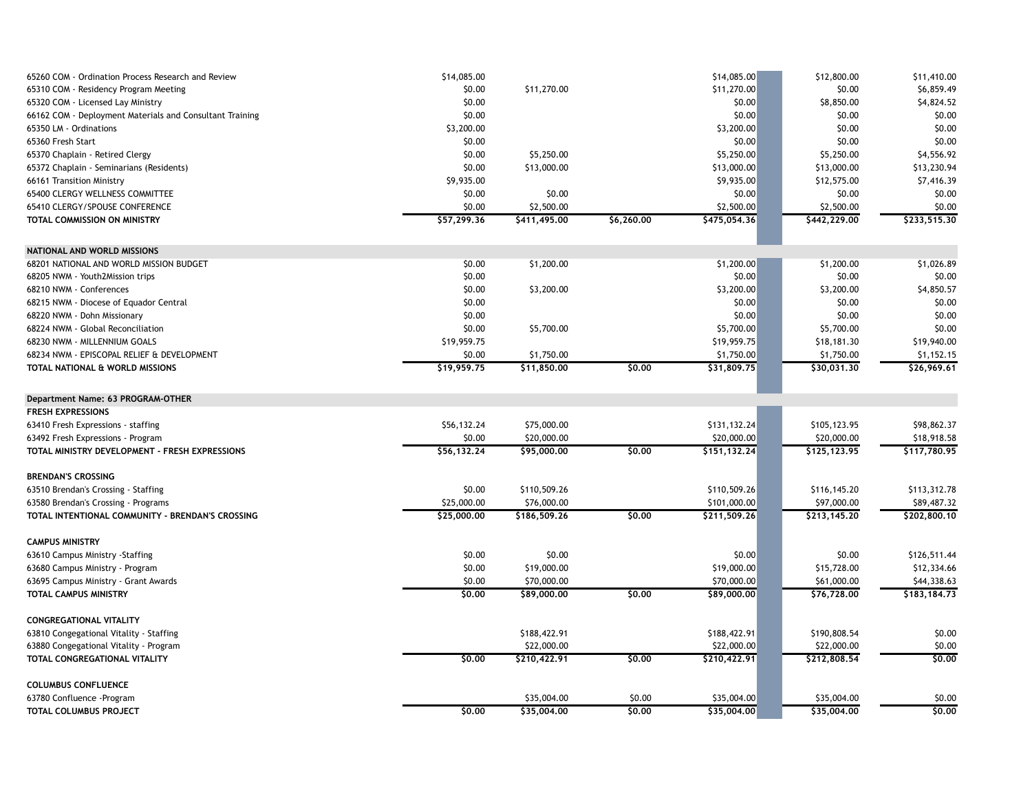| 65260 COM - Ordination Process Research and Review       | \$14,085.00 |              |            | \$14,085.00    | \$12,800.00  | \$11,410.00  |
|----------------------------------------------------------|-------------|--------------|------------|----------------|--------------|--------------|
| 65310 COM - Residency Program Meeting                    | \$0.00      | \$11,270.00  |            | \$11,270.00    | \$0.00       | \$6,859.49   |
| 65320 COM - Licensed Lay Ministry                        | \$0.00      |              |            | \$0.00         | \$8,850.00   | \$4,824.52   |
| 66162 COM - Deployment Materials and Consultant Training | \$0.00      |              |            | \$0.00         | \$0.00       | \$0.00       |
| 65350 LM - Ordinations                                   | \$3,200.00  |              |            | \$3,200.00     | \$0.00       | \$0.00       |
| 65360 Fresh Start                                        | \$0.00      |              |            | \$0.00         | \$0.00       | \$0.00       |
| 65370 Chaplain - Retired Clergy                          | \$0.00      | \$5,250.00   |            | \$5,250.00     | \$5,250.00   | \$4,556.92   |
| 65372 Chaplain - Seminarians (Residents)                 | \$0.00      | \$13,000.00  |            | \$13,000.00    | \$13,000.00  | \$13,230.94  |
| 66161 Transition Ministry                                | \$9,935.00  |              |            | \$9,935.00     | \$12,575.00  | \$7,416.39   |
| 65400 CLERGY WELLNESS COMMITTEE                          | \$0.00      | \$0.00       |            | \$0.00         | \$0.00       | \$0.00       |
| 65410 CLERGY/SPOUSE CONFERENCE                           | \$0.00      | \$2,500.00   |            | \$2,500.00     | \$2,500.00   | \$0.00       |
| TOTAL COMMISSION ON MINISTRY                             | \$57,299.36 | \$411,495.00 | \$6,260.00 | \$475,054.36   | \$442,229.00 | \$233,515.30 |
| NATIONAL AND WORLD MISSIONS                              |             |              |            |                |              |              |
| 68201 NATIONAL AND WORLD MISSION BUDGET                  | \$0.00      | \$1,200.00   |            | \$1,200.00     | \$1,200.00   | \$1,026.89   |
| 68205 NWM - Youth2Mission trips                          | \$0.00      |              |            | \$0.00         | \$0.00       | \$0.00       |
| 68210 NWM - Conferences                                  | \$0.00      | \$3,200.00   |            | \$3,200.00     | \$3,200.00   | \$4,850.57   |
| 68215 NWM - Diocese of Equador Central                   | \$0.00      |              |            | \$0.00         | \$0.00       | \$0.00       |
| 68220 NWM - Dohn Missionary                              | \$0.00      |              |            | \$0.00         | \$0.00       | \$0.00       |
| 68224 NWM - Global Reconciliation                        | \$0.00      | \$5,700.00   |            | \$5,700.00     | \$5,700.00   | \$0.00       |
| 68230 NWM - MILLENNIUM GOALS                             | \$19,959.75 |              |            | \$19,959.75    | \$18,181.30  | \$19,940.00  |
| 68234 NWM - EPISCOPAL RELIEF & DEVELOPMENT               | \$0.00      | \$1,750.00   |            | \$1,750.00     | \$1,750.00   | \$1,152.15   |
| TOTAL NATIONAL & WORLD MISSIONS                          | \$19,959.75 | \$11,850.00  | \$0.00     | \$31,809.75    | \$30,031.30  | \$26,969.61  |
| Department Name: 63 PROGRAM-OTHER                        |             |              |            |                |              |              |
| <b>FRESH EXPRESSIONS</b>                                 |             |              |            |                |              |              |
| 63410 Fresh Expressions - staffing                       | \$56,132.24 | \$75,000.00  |            | \$131,132.24   | \$105,123.95 | \$98,862.37  |
| 63492 Fresh Expressions - Program                        | \$0.00      | \$20,000.00  |            | \$20,000.00    | \$20,000.00  | \$18,918.58  |
| TOTAL MINISTRY DEVELOPMENT - FRESH EXPRESSIONS           | \$56,132.24 | \$95,000.00  | \$0,00     | \$151, 132, 24 | \$125,123.95 | \$117,780.95 |
| <b>BRENDAN'S CROSSING</b>                                |             |              |            |                |              |              |
| 63510 Brendan's Crossing - Staffing                      | \$0.00      | \$110,509.26 |            | \$110,509.26   | \$116,145.20 | \$113,312.78 |
| 63580 Brendan's Crossing - Programs                      | \$25,000.00 | \$76,000.00  |            | \$101,000.00   | \$97,000.00  | \$89,487.32  |
| TOTAL INTENTIONAL COMMUNITY - BRENDAN'S CROSSING         | \$25,000.00 | \$186,509.26 | \$0,00     | \$211,509.26   | \$213,145.20 | \$202,800.10 |
| <b>CAMPUS MINISTRY</b>                                   |             |              |            |                |              |              |
| 63610 Campus Ministry -Staffing                          | \$0.00      | \$0.00       |            | \$0.00         | \$0.00       | \$126,511.44 |
| 63680 Campus Ministry - Program                          | \$0.00      | \$19,000.00  |            | \$19,000.00    | \$15,728.00  | \$12,334.66  |
| 63695 Campus Ministry - Grant Awards                     | \$0.00      | \$70,000.00  |            | \$70,000.00    | \$61,000.00  | \$44,338.63  |
| TOTAL CAMPUS MINISTRY                                    | \$0.00      | \$89,000.00  | \$0.00     | \$89,000.00    | \$76,728.00  | \$183,184.73 |
| <b>CONGREGATIONAL VITALITY</b>                           |             |              |            |                |              |              |
| 63810 Congegational Vitality - Staffing                  |             | \$188,422.91 |            | \$188,422.91   | \$190,808.54 | \$0.00       |
| 63880 Congegational Vitality - Program                   |             | \$22,000.00  |            | \$22,000.00    | \$22,000.00  | \$0.00       |
| TOTAL CONGREGATIONAL VITALITY                            | \$0.00      | \$210,422.91 | \$0.00     | \$210,422.91   | \$212,808.54 | \$0,00       |
| <b>COLUMBUS CONFLUENCE</b>                               |             |              |            |                |              |              |
| 63780 Confluence - Program                               |             | \$35,004.00  | \$0.00     | \$35,004.00    | \$35,004.00  | \$0.00       |
| TOTAL COLUMBUS PROJECT                                   | \$0.00      | \$35,004.00  | \$0,00     | \$35,004.00    | \$35,004.00  | \$0.00       |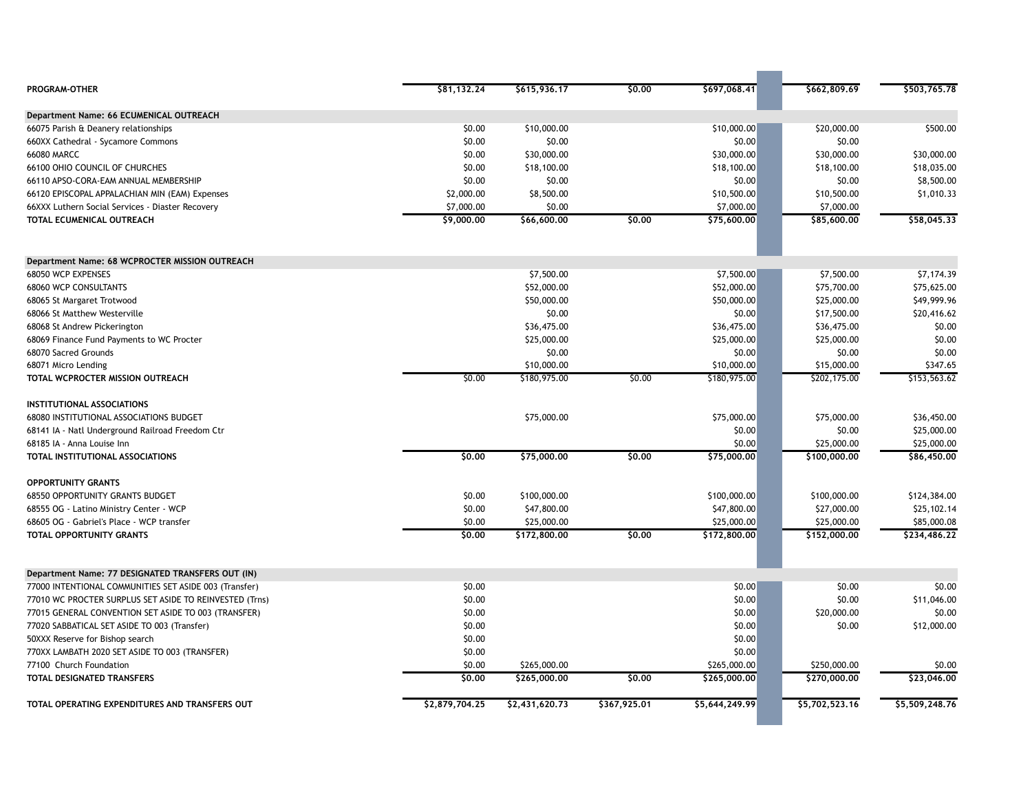| PROGRAM-OTHER                                           | \$81,132.24    | \$615,936.17   | \$0,00       | \$697,068.41   | \$662,809.69   | \$503,765.78   |
|---------------------------------------------------------|----------------|----------------|--------------|----------------|----------------|----------------|
| Department Name: 66 ECUMENICAL OUTREACH                 |                |                |              |                |                |                |
| 66075 Parish & Deanery relationships                    | \$0.00         | \$10,000.00    |              | \$10,000.00    | \$20,000.00    | \$500.00       |
| 660XX Cathedral - Sycamore Commons                      | \$0.00         | \$0.00         |              | \$0.00         | \$0.00         |                |
| <b>66080 MARCC</b>                                      | \$0.00         | \$30,000.00    |              | \$30,000.00    | \$30,000.00    | \$30,000.00    |
| 66100 OHIO COUNCIL OF CHURCHES                          | \$0.00         | \$18,100.00    |              | \$18,100.00    | \$18,100.00    | \$18,035.00    |
| 66110 APSO-CORA-EAM ANNUAL MEMBERSHIP                   | \$0.00         | \$0.00         |              | \$0.00         | \$0.00         | \$8,500.00     |
| 66120 EPISCOPAL APPALACHIAN MIN (EAM) Expenses          | \$2,000.00     | \$8,500.00     |              | \$10,500.00    | \$10,500.00    | \$1,010.33     |
| 66XXX Luthern Social Services - Diaster Recovery        | \$7,000.00     | \$0.00         |              | \$7,000.00     | \$7,000.00     |                |
| TOTAL ECUMENICAL OUTREACH                               | \$9,000.00     | \$66,600.00    | \$0,00       | \$75,600.00    | \$85,600.00    | \$58,045.33    |
| Department Name: 68 WCPROCTER MISSION OUTREACH          |                |                |              |                |                |                |
| 68050 WCP EXPENSES                                      |                | \$7,500.00     |              | \$7,500.00     | \$7,500.00     | \$7,174.39     |
| <b>68060 WCP CONSULTANTS</b>                            |                | \$52,000.00    |              | \$52,000.00    | \$75,700.00    | \$75,625.00    |
| 68065 St Margaret Trotwood                              |                | \$50,000.00    |              | \$50,000.00    | \$25,000.00    | \$49,999.96    |
| 68066 St Matthew Westerville                            |                | \$0.00         |              | \$0.00         | \$17,500.00    | \$20,416.62    |
| 68068 St Andrew Pickerington                            |                | \$36,475.00    |              | \$36,475.00    | \$36,475.00    | \$0.00         |
| 68069 Finance Fund Payments to WC Procter               |                | \$25,000.00    |              | \$25,000.00    | \$25,000.00    | \$0.00         |
| 68070 Sacred Grounds                                    |                | \$0.00         |              | \$0.00         | \$0.00         | \$0.00         |
| 68071 Micro Lending                                     |                | \$10,000.00    |              | \$10,000.00    | \$15,000.00    | \$347.65       |
| TOTAL WCPROCTER MISSION OUTREACH                        | \$0.00         | \$180,975.00   | \$0.00       | \$180,975.00   | \$202,175.00   | \$153,563.62   |
|                                                         |                |                |              |                |                |                |
| INSTITUTIONAL ASSOCIATIONS                              |                |                |              |                |                |                |
| 68080 INSTITUTIONAL ASSOCIATIONS BUDGET                 |                | \$75,000.00    |              | \$75,000.00    | \$75,000.00    | \$36,450.00    |
| 68141 IA - Natl Underground Railroad Freedom Ctr        |                |                |              | \$0.00         | \$0.00         | \$25,000.00    |
| 68185 IA - Anna Louise Inn                              |                |                |              | \$0.00         | \$25,000.00    | \$25,000.00    |
| TOTAL INSTITUTIONAL ASSOCIATIONS                        | \$0.00         | \$75,000.00    | \$0.00       | \$75,000.00    | \$100,000,00   | \$86,450,00    |
| <b>OPPORTUNITY GRANTS</b>                               |                |                |              |                |                |                |
| <b>68550 OPPORTUNITY GRANTS BUDGET</b>                  | \$0.00         | \$100,000.00   |              | \$100,000.00   | \$100,000.00   | \$124,384.00   |
| 68555 OG - Latino Ministry Center - WCP                 | \$0.00         | \$47,800.00    |              | \$47,800.00    | \$27,000.00    | \$25,102.14    |
| 68605 OG - Gabriel's Place - WCP transfer               | \$0.00         | \$25,000.00    |              | \$25,000.00    | \$25,000.00    | \$85,000.08    |
| TOTAL OPPORTUNITY GRANTS                                | \$0.00         | \$172,800.00   | \$0.00       | \$172,800.00   | \$152,000.00   | \$234,486.22   |
| Department Name: 77 DESIGNATED TRANSFERS OUT (IN)       |                |                |              |                |                |                |
| 77000 INTENTIONAL COMMUNITIES SET ASIDE 003 (Transfer)  | \$0.00         |                |              | \$0.00         | \$0.00         | \$0.00         |
| 77010 WC PROCTER SURPLUS SET ASIDE TO REINVESTED (Trns) | \$0.00         |                |              | \$0.00         | \$0.00         | \$11,046.00    |
|                                                         | \$0.00         |                |              | \$0.00         | \$20,000.00    | \$0.00         |
| 77015 GENERAL CONVENTION SET ASIDE TO 003 (TRANSFER)    | \$0.00         |                |              | \$0.00         |                | \$12,000.00    |
| 77020 SABBATICAL SET ASIDE TO 003 (Transfer)            |                |                |              |                | \$0.00         |                |
| 50XXX Reserve for Bishop search                         | \$0.00         |                |              | \$0.00         |                |                |
| 770XX LAMBATH 2020 SET ASIDE TO 003 (TRANSFER)          | \$0.00         |                |              | \$0.00         |                |                |
| 77100 Church Foundation                                 | \$0.00         | \$265,000.00   |              | \$265,000.00   | \$250,000.00   | \$0.00         |
| <b>TOTAL DESIGNATED TRANSFERS</b>                       | \$0.00         | \$265,000.00   | \$0,00       | \$265,000,00   | \$270,000,00   | \$23,046.00    |
| TOTAL OPERATING EXPENDITURES AND TRANSFERS OUT          | \$2,879,704.25 | \$2,431,620.73 | \$367,925.01 | \$5,644,249.99 | \$5,702,523.16 | \$5,509,248.76 |
|                                                         |                |                |              |                |                |                |